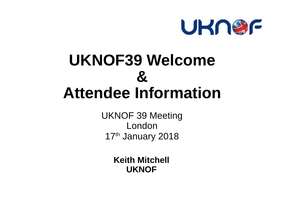

### **UKNOF39 Welcome & Attendee Information**

UKNOF 39 Meeting London 17th January 2018

> **Keith Mitchell UKNOF**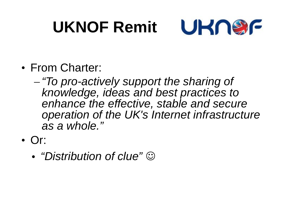# **UKNOF Remit**



#### • From Charter:

- *"To pro-actively support the sharing of knowledge, ideas and best practices to enhance the effective, stable and secure operation of the UK's Internet infrastructure as a whole."*
- Or:
	- *"Distribution of clue"*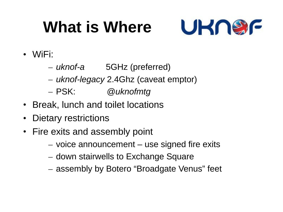# **What is Where**



- WiFi:
	- *uknof-a* 5GHz (preferred)
	- *uknof-legacy* 2.4Ghz (caveat emptor)
	- PSK: *@uknofmtg*
- Break, lunch and toilet locations
- Dietary restrictions
- Fire exits and assembly point
	- voice announcement use signed fire exits
	- down stairwells to Exchange Square
	- assembly by Botero "Broadgate Venus" feet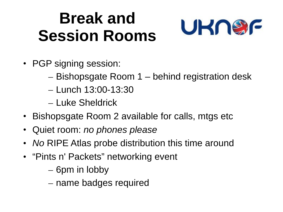# **Break and Session Rooms**



- PGP signing session:
	- Bishopsgate Room 1 behind registration desk
	- Lunch 13:00-13:30
	- Luke Sheldrick
- Bishopsgate Room 2 available for calls, mtgs etc
- Quiet room: *no phones please*
- *No* RIPE Atlas probe distribution this time around
- "Pints n' Packets" networking event
	- 6pm in lobby
	- name badges required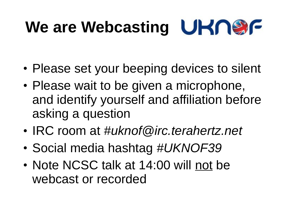# We are Webcasting URNSF

- Please set your beeping devices to silent
- Please wait to be given a microphone, and identify yourself and affiliation before asking a question
- IRC room at *#uknof@irc.terahertz.net*
- Social media hashtag *#UKNOF39*
- Note NCSC talk at 14:00 will not be webcast or recorded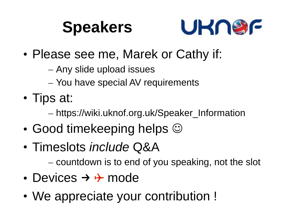## **Speakers**



- Please see me, Marek or Cathy if:
	- Any slide upload issues
	- You have special AV requirements
- Tips at:

– https://wiki.uknof.org.uk/Speaker\_Information

- Good timekeeping helps  $\odot$
- Timeslots *include* Q&A

– countdown is to end of you speaking, not the slot

- Devices  $\rightarrow \rightarrow$  mode
- We appreciate your contribution !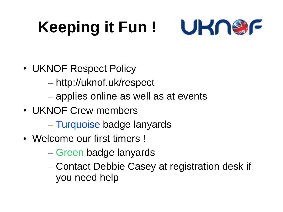#### UKNSF **Keeping it Fun !**

- UKNOF Respect Policy
	- http://uknof.uk/respect
	- applies online as well as at events
- UKNOF Crew members
	- Turquoise badge lanyards
- Welcome our first timers !
	- Green badge lanyards
	- Contact Debbie Casey at registration desk if you need help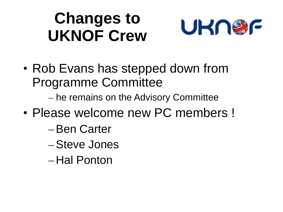## **Changes to UKNOF Crew**



• Rob Evans has stepped down from Programme Committee

– he remains on the Advisory Committee

- Please welcome new PC members !
	- Ben Carter
	- Steve Jones
	- Hal Ponton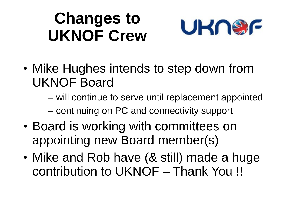# **Changes to UKNOF Crew**



- Mike Hughes intends to step down from UKNOF Board
	- will continue to serve until replacement appointed – continuing on PC and connectivity support
- Board is working with committees on appointing new Board member(s)
- Mike and Rob have (& still) made a huge contribution to UKNOF – Thank You !!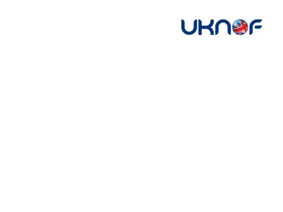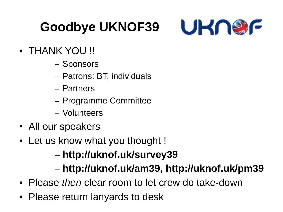### **Goodbye UKNOF39**



- THANK YOU !!
	- Sponsors
	- Patrons: BT, individuals
	- Partners
	- Programme Committee
	- Volunteers
- All our speakers
- Let us know what you thought !

– **http://uknof.uk/survey39**

– **http://uknof.uk/am39, http://uknof.uk/pm39**

- Please *then* clear room to let crew do take-down
- Please return lanyards to desk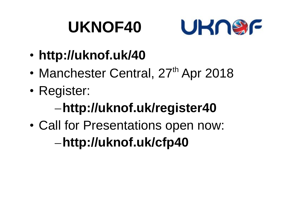# **UKNOF40**



- **http://uknof.uk/40**
- Manchester Central, 27<sup>th</sup> Apr 2018
- Register:

### –**http://uknof.uk/register40**

• Call for Presentations open now: –**http://uknof.uk/cfp40**